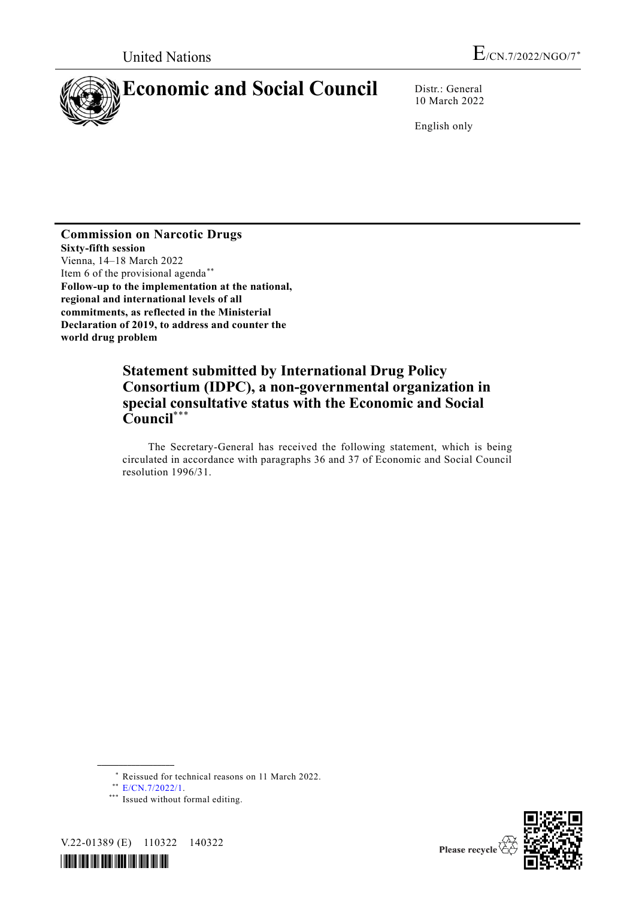

10 March 2022

English only

**Commission on Narcotic Drugs Sixty-fifth session** Vienna, 14–18 March 2022\* Item 6 of the provisional agenda\*\* **Follow-up to the implementation at the national, regional and international levels of all commitments, as reflected in the Ministerial Declaration of 2019, to address and counter the world drug problem**

# **Statement submitted by International Drug Policy Consortium (IDPC), a non-governmental organization in special consultative status with the Economic and Social Council**\*\*\*

The Secretary-General has received the following statement, which is being circulated in accordance with paragraphs 36 and 37 of Economic and Social Council resolution 1996/31.

**\_\_\_\_\_\_\_\_\_\_\_\_\_\_\_\_\_\_**

<sup>\*\*\*</sup> Issued without formal editing.







<sup>\*</sup> Reissued for technical reasons on 11 March 2022.

<sup>\*\*</sup> [E/CN.7/2022/1.](http://undocs.org/E/CN.7/2022/1)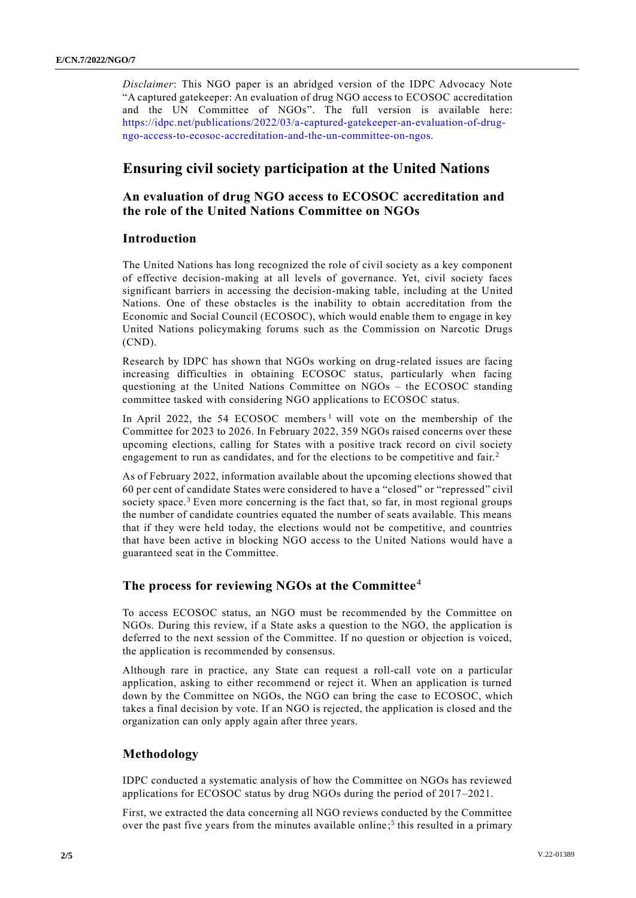*Disclaimer*: This NGO paper is an abridged version of the IDPC Advocacy Note "A captured gatekeeper: An evaluation of drug NGO access to ECOSOC accreditation and the UN Committee of NGOs". The full version is available here: [https://idpc.net/publications/2022/03/a-captured-gatekeeper-an-evaluation-of-drug](https://idpc.net/publications/2022/03/a-captured-gatekeeper-an-evaluation-of-drug-ngo-access-to-ecosoc-accreditation-and-the-un-committee-on-ngos)[ngo-access-to-ecosoc-accreditation-and-the-un-committee-on-ngos.](https://idpc.net/publications/2022/03/a-captured-gatekeeper-an-evaluation-of-drug-ngo-access-to-ecosoc-accreditation-and-the-un-committee-on-ngos)

# **Ensuring civil society participation at the United Nations**

## **An evaluation of drug NGO access to ECOSOC accreditation and the role of the United Nations Committee on NGOs**

### **Introduction**

The United Nations has long recognized the role of civil society as a key component of effective decision-making at all levels of governance. Yet, civil society faces significant barriers in accessing the decision-making table, including at the United Nations. One of these obstacles is the inability to obtain accreditation from the Economic and Social Council (ECOSOC), which would enable them to engage in key United Nations policymaking forums such as the Commission on Narcotic Drugs (CND).

Research by IDPC has shown that NGOs working on drug-related issues are facing increasing difficulties in obtaining ECOSOC status, particularly when facing questioning at the United Nations Committee on NGOs – the ECOSOC standing committee tasked with considering NGO applications to ECOSOC status.

In April 2022, the 54 ECOSOC members<sup>1</sup> will vote on the membership of the Committee for 2023 to 2026. In February 2022, 359 NGOs raised concerns over these upcoming elections, calling for States with a positive track record on civil society engagement to run as candidates, and for the elections to be competitive and fair.<sup>2</sup>

As of February 2022, information available about the upcoming elections showed that 60 per cent of candidate States were considered to have a "closed" or "repressed" civil society space.<sup>3</sup> Even more concerning is the fact that, so far, in most regional groups the number of candidate countries equated the number of seats available. This means that if they were held today, the elections would not be competitive, and countries that have been active in blocking NGO access to the United Nations would have a guaranteed seat in the Committee.

## **The process for reviewing NGOs at the Committee**<sup>4</sup>

To access ECOSOC status, an NGO must be recommended by the Committee on NGOs. During this review, if a State asks a question to the NGO, the application is deferred to the next session of the Committee. If no question or objection is voiced, the application is recommended by consensus.

Although rare in practice, any State can request a roll-call vote on a particular application, asking to either recommend or reject it. When an application is turned down by the Committee on NGOs, the NGO can bring the case to ECOSOC, which takes a final decision by vote. If an NGO is rejected, the application is closed and the organization can only apply again after three years.

### **Methodology**

IDPC conducted a systematic analysis of how the Committee on NGOs has reviewed applications for ECOSOC status by drug NGOs during the period of 2017–2021.

First, we extracted the data concerning all NGO reviews conducted by the Committee over the past five years from the minutes available online; 5 this resulted in a primary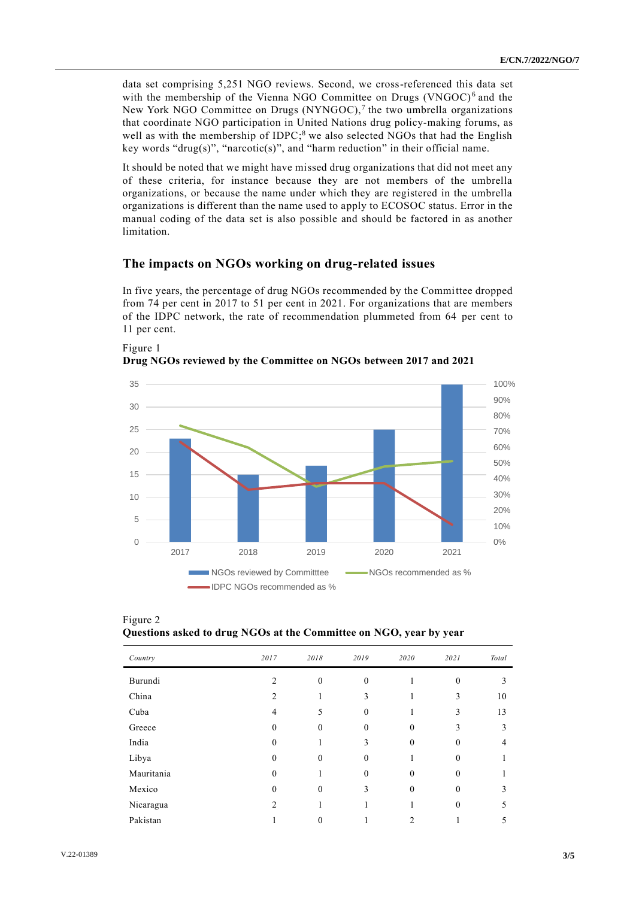data set comprising 5,251 NGO reviews. Second, we cross-referenced this data set with the membership of the Vienna NGO Committee on Drugs (VNGOC)<sup>6</sup> and the New York NGO Committee on Drugs (NYNGOC),<sup>7</sup> the two umbrella organizations that coordinate NGO participation in United Nations drug policy-making forums, as well as with the membership of IDPC;<sup>8</sup> we also selected NGOs that had the English key words "drug(s)", "narcotic(s)", and "harm reduction" in their official name.

It should be noted that we might have missed drug organizations that did not meet any of these criteria, for instance because they are not members of the umbrella organizations, or because the name under which they are registered in the umbrella organizations is different than the name used to apply to ECOSOC status. Error in the manual coding of the data set is also possible and should be factored in as another limitation.

#### **The impacts on NGOs working on drug-related issues**

In five years, the percentage of drug NGOs recommended by the Committee dropped from 74 per cent in 2017 to 51 per cent in 2021. For organizations that are members of the IDPC network, the rate of recommendation plummeted from 64 per cent to 11 per cent.



Figure 1 **Drug NGOs reviewed by the Committee on NGOs between 2017 and 2021**

| Figure 2                                                           |  |  |  |
|--------------------------------------------------------------------|--|--|--|
| Questions asked to drug NGOs at the Committee on NGO, year by year |  |  |  |

| Country    | 2017           | 2018         | 2019     | 2020     | 2021         | Total |
|------------|----------------|--------------|----------|----------|--------------|-------|
| Burundi    | $\overline{c}$ | $\theta$     | $\theta$ |          | $\Omega$     | 3     |
| China      | 2              |              | 3        |          | 3            | 10    |
| Cuba       | 4              | 5            | $\theta$ |          | 3            | 13    |
| Greece     | $\theta$       | $\mathbf{0}$ | $\theta$ | $\theta$ | 3            | 3     |
| India      | $\theta$       |              | 3        | $\theta$ | $\Omega$     | 4     |
| Libya      | $\Omega$       | $\theta$     | $\Omega$ |          | $\theta$     |       |
| Mauritania | $\theta$       |              | $\theta$ | $\theta$ | $\mathbf{0}$ |       |
| Mexico     | $\theta$       | $\theta$     | 3        | $\theta$ | $\theta$     | 3     |
| Nicaragua  | 2              |              |          |          | $\Omega$     | ጎ     |
| Pakistan   |                | 0            |          | 2        |              |       |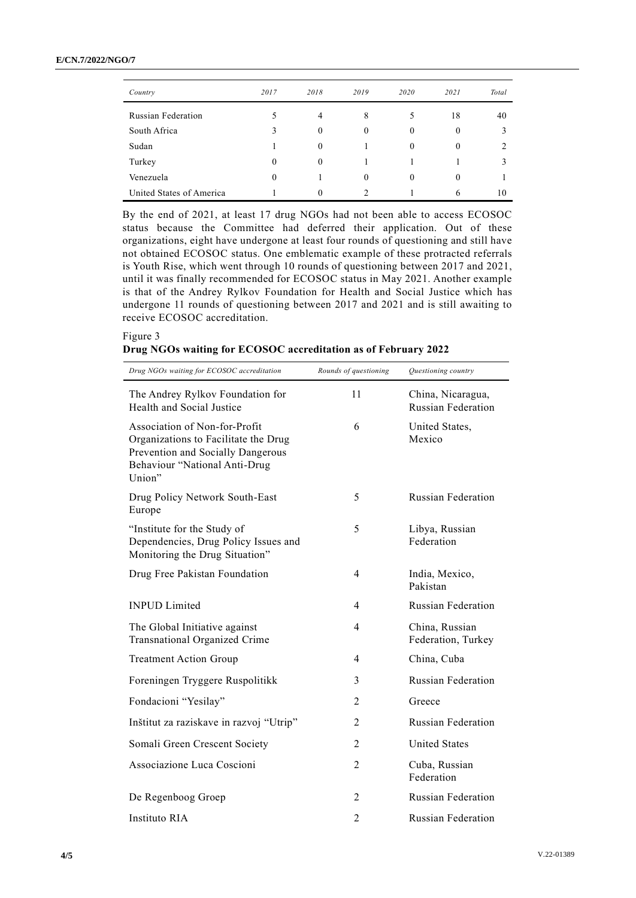| Country                   | 2017     | 2018     | 2019         | 2020     | 2021           | Total |
|---------------------------|----------|----------|--------------|----------|----------------|-------|
| <b>Russian Federation</b> |          | 4        | 8            | 5        | 18             | 40    |
| South Africa              | 3        | $\theta$ | $\mathbf{0}$ | $\theta$ | $\theta$       |       |
| Sudan                     |          | $\Omega$ |              | $\theta$ | $\overline{0}$ |       |
| Turkey                    | $\theta$ | $\Omega$ |              |          |                |       |
| Venezuela                 | $\theta$ |          | $\theta$     | 0        | $\theta$       |       |
| United States of America  |          |          | ◠            |          | 6              | 10    |

By the end of 2021, at least 17 drug NGOs had not been able to access ECOSOC status because the Committee had deferred their application. Out of these organizations, eight have undergone at least four rounds of questioning and still have not obtained ECOSOC status. One emblematic example of these protracted referrals is Youth Rise, which went through 10 rounds of questioning between 2017 and 2021, until it was finally recommended for ECOSOC status in May 2021. Another example is that of the Andrey Rylkov Foundation for Health and Social Justice which has undergone 11 rounds of questioning between 2017 and 2021 and is still awaiting to receive ECOSOC accreditation.

#### Figure 3

|  |  | Drug NGOs waiting for ECOSOC accreditation as of February 2022 |  |
|--|--|----------------------------------------------------------------|--|
|  |  |                                                                |  |

| Drug NGOs waiting for ECOSOC accreditation                                                                                                            | Rounds of questioning | Questioning country                            |
|-------------------------------------------------------------------------------------------------------------------------------------------------------|-----------------------|------------------------------------------------|
| The Andrey Rylkov Foundation for<br>Health and Social Justice                                                                                         | 11                    | China, Nicaragua,<br><b>Russian Federation</b> |
| Association of Non-for-Profit<br>Organizations to Facilitate the Drug<br>Prevention and Socially Dangerous<br>Behaviour "National Anti-Drug<br>Union" | 6                     | United States,<br>Mexico                       |
| Drug Policy Network South-East<br>Europe                                                                                                              | 5                     | <b>Russian Federation</b>                      |
| "Institute for the Study of<br>Dependencies, Drug Policy Issues and<br>Monitoring the Drug Situation"                                                 | 5                     | Libya, Russian<br>Federation                   |
| Drug Free Pakistan Foundation                                                                                                                         | 4                     | India, Mexico,<br>Pakistan                     |
| <b>INPUD Limited</b>                                                                                                                                  | 4                     | <b>Russian Federation</b>                      |
| The Global Initiative against<br>Transnational Organized Crime                                                                                        | 4                     | China, Russian<br>Federation, Turkey           |
| <b>Treatment Action Group</b>                                                                                                                         | 4                     | China, Cuba                                    |
| Foreningen Tryggere Ruspolitikk                                                                                                                       | 3                     | <b>Russian Federation</b>                      |
| Fondacioni "Yesilay"                                                                                                                                  | 2                     | Greece                                         |
| Inštitut za raziskave in razvoj "Utrip"                                                                                                               | 2                     | <b>Russian Federation</b>                      |
| Somali Green Crescent Society                                                                                                                         | $\overline{2}$        | <b>United States</b>                           |
| Associazione Luca Coscioni                                                                                                                            | 2                     | Cuba, Russian<br>Federation                    |
| De Regenboog Groep                                                                                                                                    | 2                     | <b>Russian Federation</b>                      |
| Instituto RIA                                                                                                                                         | $\overline{2}$        | <b>Russian Federation</b>                      |